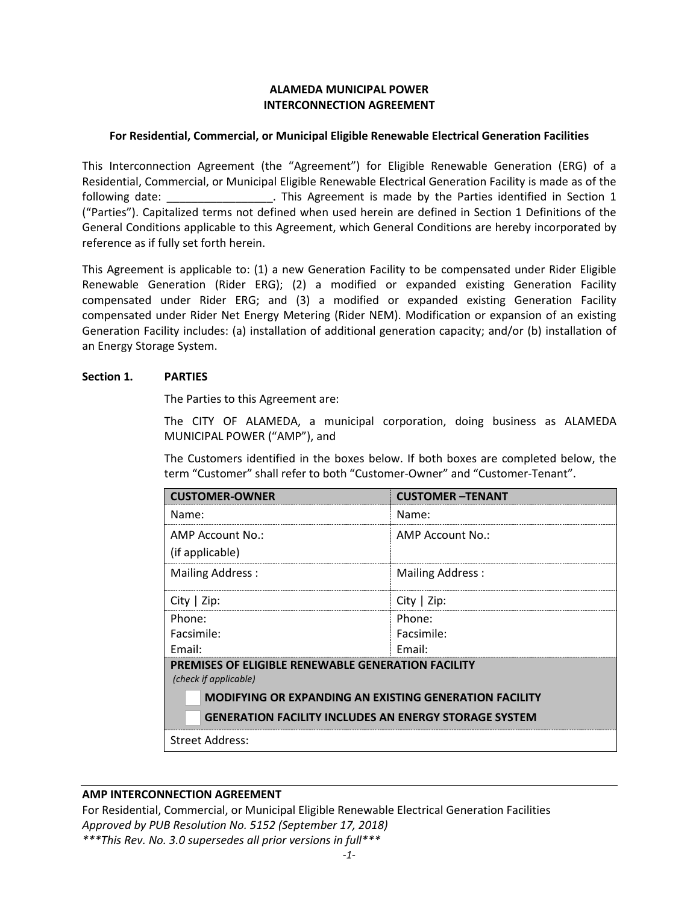## **ALAMEDA MUNICIPAL POWER INTERCONNECTION AGREEMENT**

#### **For Residential, Commercial, or Municipal Eligible Renewable Electrical Generation Facilities**

This Interconnection Agreement (the "Agreement") for Eligible Renewable Generation (ERG) of a Residential, Commercial, or Municipal Eligible Renewable Electrical Generation Facility is made as of the following date: \_\_\_\_\_\_\_\_\_\_\_\_\_\_\_\_\_. This Agreement is made by the Parties identified in Section 1 ("Parties"). Capitalized terms not defined when used herein are defined in Section 1 Definitions of the General Conditions applicable to this Agreement, which General Conditions are hereby incorporated by reference as if fully set forth herein.

This Agreement is applicable to: (1) a new Generation Facility to be compensated under Rider Eligible Renewable Generation (Rider ERG); (2) a modified or expanded existing Generation Facility compensated under Rider ERG; and (3) a modified or expanded existing Generation Facility compensated under Rider Net Energy Metering (Rider NEM). Modification or expansion of an existing Generation Facility includes: (a) installation of additional generation capacity; and/or (b) installation of an Energy Storage System.

#### **Section 1. PARTIES**

The Parties to this Agreement are:

The CITY OF ALAMEDA, a municipal corporation, doing business as ALAMEDA MUNICIPAL POWER ("AMP"), and

The Customers identified in the boxes below. If both boxes are completed below, the term "Customer" shall refer to both "Customer-Owner" and "Customer-Tenant".

| <b>CUSTOMER-OWNER</b>                                                              | <b>CUSTOMER-TENANT</b>  |
|------------------------------------------------------------------------------------|-------------------------|
| Name:                                                                              | Name:                   |
| AMP Account No.:                                                                   | AMP Account No.:        |
| (if applicable)                                                                    |                         |
| <b>Mailing Address:</b>                                                            | <b>Mailing Address:</b> |
| City $ $ Zip:                                                                      | City $ $ Zip:           |
| Phone:                                                                             | Phone:                  |
| Facsimile:                                                                         | Facsimile:              |
| Fmail:                                                                             | Fmail:                  |
| <b>PREMISES OF ELIGIBLE RENEWABLE GENERATION FACILITY</b><br>(check if applicable) |                         |
| <b>MODIFYING OR EXPANDING AN EXISTING GENERATION FACILITY</b>                      |                         |
| <b>GENERATION FACILITY INCLUDES AN ENERGY STORAGE SYSTEM</b>                       |                         |
| <b>Street Address:</b>                                                             |                         |

#### **AMP INTERCONNECTION AGREEMENT**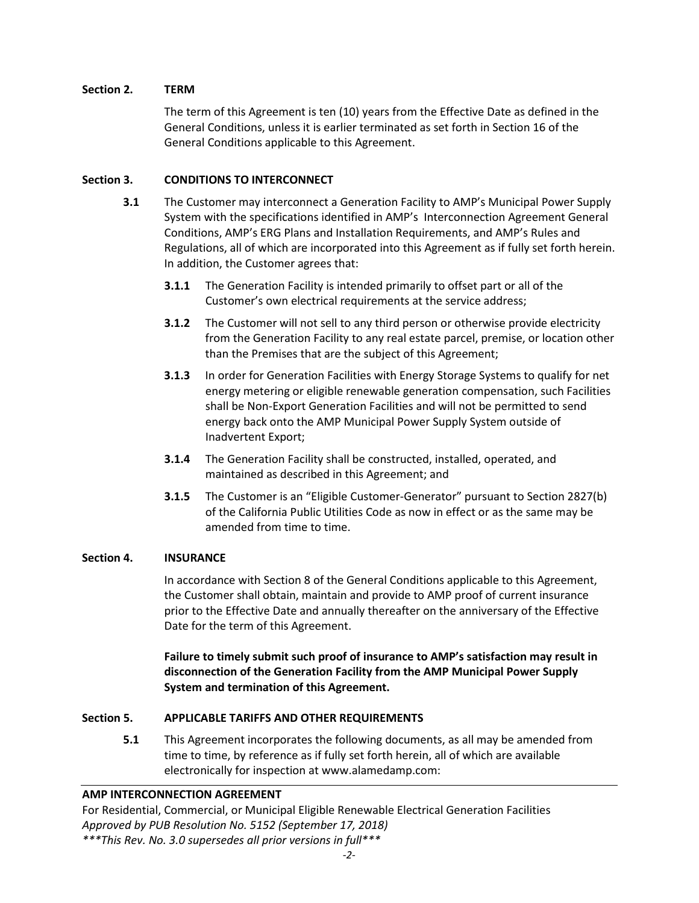# **Section 2. TERM**

The term of this Agreement is ten (10) years from the Effective Date as defined in the General Conditions, unless it is earlier terminated as set forth in Section 16 of the General Conditions applicable to this Agreement.

# **Section 3. CONDITIONS TO INTERCONNECT**

- **3.1** The Customer may interconnect a Generation Facility to AMP's Municipal Power Supply System with the specifications identified in AMP's Interconnection Agreement General Conditions, AMP's ERG Plans and Installation Requirements, and AMP's Rules and Regulations, all of which are incorporated into this Agreement as if fully set forth herein. In addition, the Customer agrees that:
	- **3.1.1** The Generation Facility is intended primarily to offset part or all of the Customer's own electrical requirements at the service address;
	- **3.1.2** The Customer will not sell to any third person or otherwise provide electricity from the Generation Facility to any real estate parcel, premise, or location other than the Premises that are the subject of this Agreement;
	- **3.1.3** In order for Generation Facilities with Energy Storage Systems to qualify for net energy metering or eligible renewable generation compensation, such Facilities shall be Non-Export Generation Facilities and will not be permitted to send energy back onto the AMP Municipal Power Supply System outside of Inadvertent Export;
	- **3.1.4** The Generation Facility shall be constructed, installed, operated, and maintained as described in this Agreement; and
	- **3.1.5** The Customer is an "Eligible Customer-Generator" pursuant to Section 2827(b) of the California Public Utilities Code as now in effect or as the same may be amended from time to time.

## **Section 4. INSURANCE**

In accordance with Section 8 of the General Conditions applicable to this Agreement, the Customer shall obtain, maintain and provide to AMP proof of current insurance prior to the Effective Date and annually thereafter on the anniversary of the Effective Date for the term of this Agreement.

**Failure to timely submit such proof of insurance to AMP's satisfaction may result in disconnection of the Generation Facility from the AMP Municipal Power Supply System and termination of this Agreement.**

## **Section 5. APPLICABLE TARIFFS AND OTHER REQUIREMENTS**

**5.1** This Agreement incorporates the following documents, as all may be amended from time to time, by reference as if fully set forth herein, all of which are available electronically for inspection at www.alamedamp.com:

## **AMP INTERCONNECTION AGREEMENT**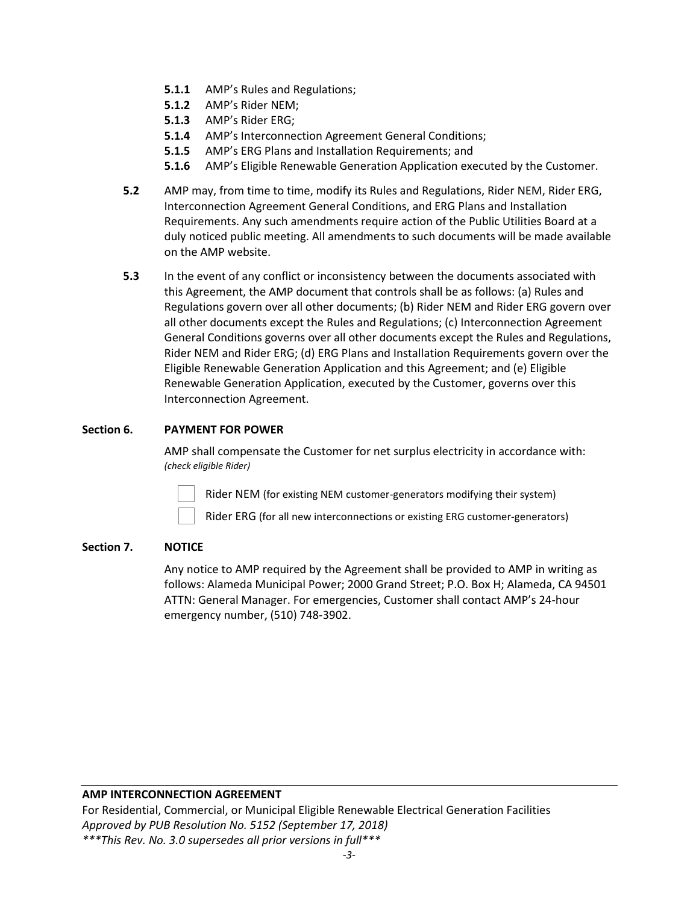- **5.1.1** AMP's Rules and Regulations;
- **5.1.2** AMP's Rider NEM;
- **5.1.3** AMP's Rider ERG;
- **5.1.4** AMP's Interconnection Agreement General Conditions;
- **5.1.5** AMP's ERG Plans and Installation Requirements; and
- **5.1.6** AMP's Eligible Renewable Generation Application executed by the Customer.
- **5.2** AMP may, from time to time, modify its Rules and Regulations, Rider NEM, Rider ERG, Interconnection Agreement General Conditions, and ERG Plans and Installation Requirements. Any such amendments require action of the Public Utilities Board at a duly noticed public meeting. All amendments to such documents will be made available on the AMP website.
- **5.3** In the event of any conflict or inconsistency between the documents associated with this Agreement, the AMP document that controls shall be as follows: (a) Rules and Regulations govern over all other documents; (b) Rider NEM and Rider ERG govern over all other documents except the Rules and Regulations; (c) Interconnection Agreement General Conditions governs over all other documents except the Rules and Regulations, Rider NEM and Rider ERG; (d) ERG Plans and Installation Requirements govern over the Eligible Renewable Generation Application and this Agreement; and (e) Eligible Renewable Generation Application, executed by the Customer, governs over this Interconnection Agreement.

## **Section 6. PAYMENT FOR POWER**

AMP shall compensate the Customer for net surplus electricity in accordance with: *(check eligible Rider)*

Rider NEM (for existing NEM customer-generators modifying their system)

Rider ERG (for all new interconnections or existing ERG customer-generators)

## **Section 7. NOTICE**

Any notice to AMP required by the Agreement shall be provided to AMP in writing as follows: Alameda Municipal Power; 2000 Grand Street; P.O. Box H; Alameda, CA 94501 ATTN: General Manager. For emergencies, Customer shall contact AMP's 24-hour emergency number, (510) 748-3902.

## **AMP INTERCONNECTION AGREEMENT**